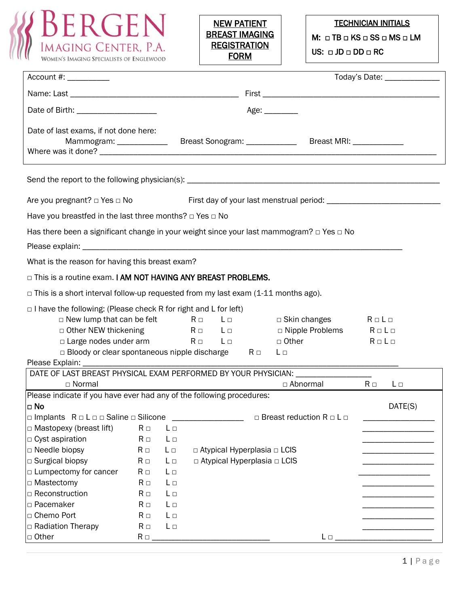



## TECHNICIAN INITIALS

M: □ TB □ KS □ SS □ MS □ LM

US: □ JD □ DD □ RC

| Account #: ____________                                                                            |          |          |  |  |                                         |                                           |                       | Today's Date: _______________ |  |
|----------------------------------------------------------------------------------------------------|----------|----------|--|--|-----------------------------------------|-------------------------------------------|-----------------------|-------------------------------|--|
|                                                                                                    |          |          |  |  |                                         |                                           |                       |                               |  |
| Date of Birth: _______________________                                                             | Age:     |          |  |  |                                         |                                           |                       |                               |  |
| Date of last exams, if not done here:<br>Mammogram: _____________                                  |          |          |  |  |                                         |                                           |                       |                               |  |
|                                                                                                    |          |          |  |  |                                         |                                           |                       |                               |  |
| Are you pregnant? □ Yes □ No                                                                       |          |          |  |  |                                         |                                           |                       |                               |  |
| Have you breastfed in the last three months? $\Box$ Yes $\Box$ No                                  |          |          |  |  |                                         |                                           |                       |                               |  |
| Has there been a significant change in your weight since your last mammogram? $\Box$ Yes $\Box$ No |          |          |  |  |                                         |                                           |                       |                               |  |
|                                                                                                    |          |          |  |  |                                         |                                           |                       |                               |  |
| What is the reason for having this breast exam?                                                    |          |          |  |  |                                         |                                           |                       |                               |  |
| □ This is a routine exam. I AM NOT HAVING ANY BREAST PROBLEMS.                                     |          |          |  |  |                                         |                                           |                       |                               |  |
| $\Box$ This is a short interval follow-up requested from my last exam (1-11 months ago).           |          |          |  |  |                                         |                                           |                       |                               |  |
| $\Box$ I have the following: (Please check R for right and L for left)                             |          |          |  |  |                                         |                                           |                       |                               |  |
| $\Box$ New lump that can be felt $R \Box$ L $\Box$                                                 |          |          |  |  |                                         | $\Box$ Skin changes R $\Box$ L $\Box$     |                       |                               |  |
| $\Box$ Other NEW thickening $R \Box$ $R \Box$                                                      |          |          |  |  |                                         | □ Nipple Problems R □ L □                 |                       |                               |  |
| $\Box$ Large nodes under arm $R \Box$ L $\Box$                                                     |          |          |  |  |                                         | □ Other                                   | $R \square L \square$ |                               |  |
| $\Box$ Bloody or clear spontaneous nipple discharge R $\Box$                                       |          |          |  |  |                                         | L⊡                                        |                       |                               |  |
|                                                                                                    |          |          |  |  |                                         |                                           |                       |                               |  |
| DATE OF LAST BREAST PHYSICAL EXAM PERFORMED BY YOUR PHYSICIAN: _________________                   |          |          |  |  |                                         |                                           |                       |                               |  |
| $\Box$ Normal                                                                                      |          |          |  |  |                                         | $\Box$ Abnormal                           | $R \Box$              | $L \Box$                      |  |
| Please indicate if you have ever had any of the following procedures:                              |          |          |  |  |                                         |                                           |                       |                               |  |
| $\Box$ No                                                                                          |          |          |  |  |                                         |                                           |                       | DATE(S)                       |  |
| $\square$ Implants $R \square L \square \square$ Saline $\square$ Silicone                         |          |          |  |  |                                         | $\Box$ Breast reduction R $\Box$ L $\Box$ |                       |                               |  |
| □ Mastopexy (breast lift)                                                                          | $R \Box$ | $L \Box$ |  |  |                                         |                                           |                       |                               |  |
| □ Cyst aspiration                                                                                  | $R \Box$ | $L \Box$ |  |  |                                         |                                           |                       |                               |  |
| □ Needle biopsy                                                                                    | $R \Box$ | $L \Box$ |  |  | $\Box$ Atypical Hyperplasia $\Box$ LCIS |                                           |                       |                               |  |
| □ Surgical biopsy                                                                                  | $R \Box$ | $L \Box$ |  |  | $\Box$ Atypical Hyperplasia $\Box$ LCIS |                                           |                       |                               |  |
| □ Lumpectomy for cancer                                                                            | $R \Box$ | $L \Box$ |  |  |                                         |                                           |                       |                               |  |
| □ Mastectomy                                                                                       | $R \Box$ | $L \Box$ |  |  |                                         |                                           |                       |                               |  |
| □ Reconstruction                                                                                   | $R \Box$ | $L \Box$ |  |  |                                         |                                           |                       |                               |  |
| □ Pacemaker                                                                                        | $R \Box$ | $L \Box$ |  |  |                                         |                                           |                       |                               |  |
| □ Chemo Port                                                                                       | $R \Box$ | $L \Box$ |  |  |                                         |                                           |                       |                               |  |
| □ Radiation Therapy                                                                                | $R \Box$ | $L \Box$ |  |  |                                         |                                           |                       |                               |  |
| □ Other                                                                                            | $R \Box$ |          |  |  |                                         | $L \Box$                                  |                       |                               |  |